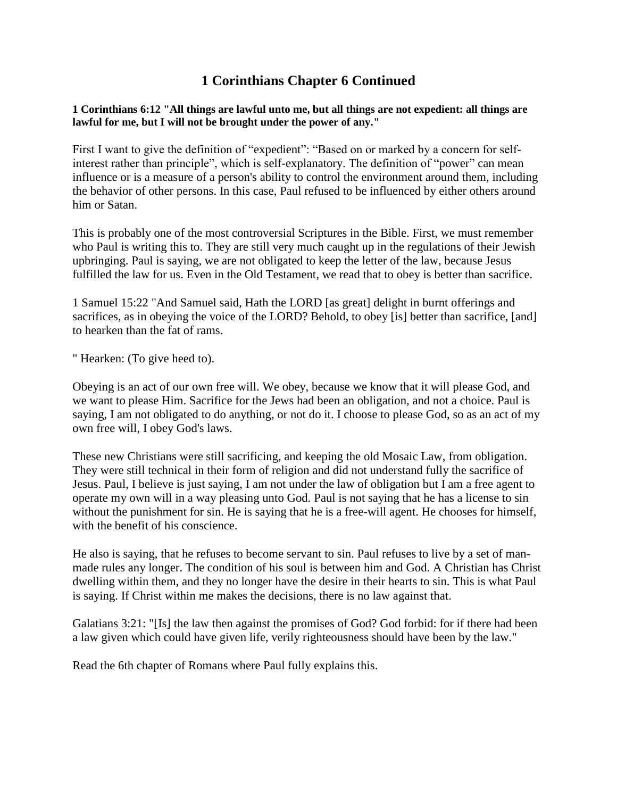# **1 Corinthians Chapter 6 Continued**

**1 Corinthians 6:12 "All things are lawful unto me, but all things are not expedient: all things are lawful for me, but I will not be brought under the power of any."**

First I want to give the definition of "expedient": "Based on or marked by a concern for selfinterest rather than principle", which is self-explanatory. The definition of "power" can mean influence or is a measure of a person's ability to control the environment around them, including the behavior of other persons. In this case, Paul refused to be influenced by either others around him or Satan.

This is probably one of the most controversial Scriptures in the Bible. First, we must remember who Paul is writing this to. They are still very much caught up in the regulations of their Jewish upbringing. Paul is saying, we are not obligated to keep the letter of the law, because Jesus fulfilled the law for us. Even in the Old Testament, we read that to obey is better than sacrifice.

1 Samuel 15:22 "And Samuel said, Hath the LORD [as great] delight in burnt offerings and sacrifices, as in obeying the voice of the LORD? Behold, to obey [is] better than sacrifice, [and] to hearken than the fat of rams.

" Hearken: (To give heed to).

Obeying is an act of our own free will. We obey, because we know that it will please God, and we want to please Him. Sacrifice for the Jews had been an obligation, and not a choice. Paul is saying, I am not obligated to do anything, or not do it. I choose to please God, so as an act of my own free will, I obey God's laws.

These new Christians were still sacrificing, and keeping the old Mosaic Law, from obligation. They were still technical in their form of religion and did not understand fully the sacrifice of Jesus. Paul, I believe is just saying, I am not under the law of obligation but I am a free agent to operate my own will in a way pleasing unto God. Paul is not saying that he has a license to sin without the punishment for sin. He is saying that he is a free-will agent. He chooses for himself, with the benefit of his conscience.

He also is saying, that he refuses to become servant to sin. Paul refuses to live by a set of manmade rules any longer. The condition of his soul is between him and God. A Christian has Christ dwelling within them, and they no longer have the desire in their hearts to sin. This is what Paul is saying. If Christ within me makes the decisions, there is no law against that.

Galatians 3:21: "[Is] the law then against the promises of God? God forbid: for if there had been a law given which could have given life, verily righteousness should have been by the law."

Read the 6th chapter of Romans where Paul fully explains this.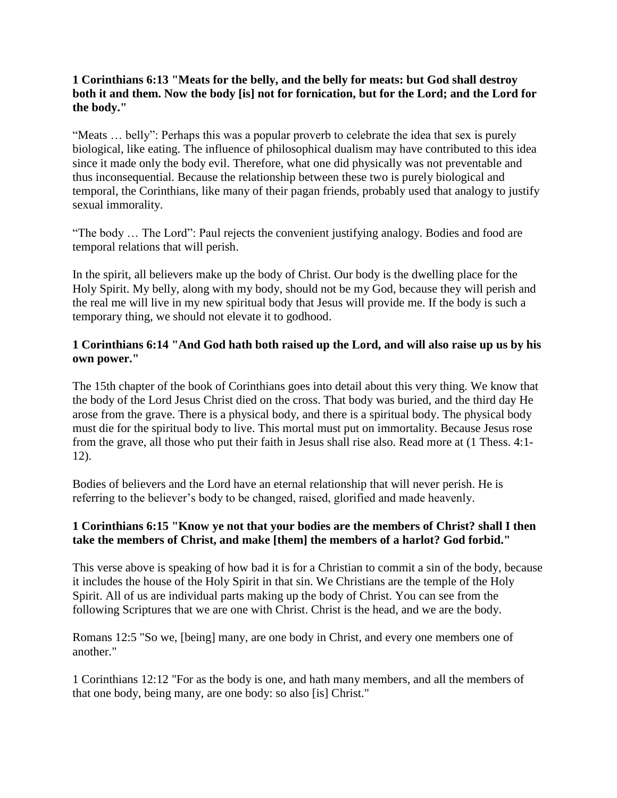#### **1 Corinthians 6:13 "Meats for the belly, and the belly for meats: but God shall destroy both it and them. Now the body [is] not for fornication, but for the Lord; and the Lord for the body."**

"Meats … belly": Perhaps this was a popular proverb to celebrate the idea that sex is purely biological, like eating. The influence of philosophical dualism may have contributed to this idea since it made only the body evil. Therefore, what one did physically was not preventable and thus inconsequential. Because the relationship between these two is purely biological and temporal, the Corinthians, like many of their pagan friends, probably used that analogy to justify sexual immorality.

"The body … The Lord": Paul rejects the convenient justifying analogy. Bodies and food are temporal relations that will perish.

In the spirit, all believers make up the body of Christ. Our body is the dwelling place for the Holy Spirit. My belly, along with my body, should not be my God, because they will perish and the real me will live in my new spiritual body that Jesus will provide me. If the body is such a temporary thing, we should not elevate it to godhood.

## **1 Corinthians 6:14 "And God hath both raised up the Lord, and will also raise up us by his own power."**

The 15th chapter of the book of Corinthians goes into detail about this very thing. We know that the body of the Lord Jesus Christ died on the cross. That body was buried, and the third day He arose from the grave. There is a physical body, and there is a spiritual body. The physical body must die for the spiritual body to live. This mortal must put on immortality. Because Jesus rose from the grave, all those who put their faith in Jesus shall rise also. Read more at (1 Thess. 4:1- 12).

Bodies of believers and the Lord have an eternal relationship that will never perish. He is referring to the believer's body to be changed, raised, glorified and made heavenly.

## **1 Corinthians 6:15 "Know ye not that your bodies are the members of Christ? shall I then take the members of Christ, and make [them] the members of a harlot? God forbid."**

This verse above is speaking of how bad it is for a Christian to commit a sin of the body, because it includes the house of the Holy Spirit in that sin. We Christians are the temple of the Holy Spirit. All of us are individual parts making up the body of Christ. You can see from the following Scriptures that we are one with Christ. Christ is the head, and we are the body.

Romans 12:5 "So we, [being] many, are one body in Christ, and every one members one of another."

1 Corinthians 12:12 "For as the body is one, and hath many members, and all the members of that one body, being many, are one body: so also [is] Christ."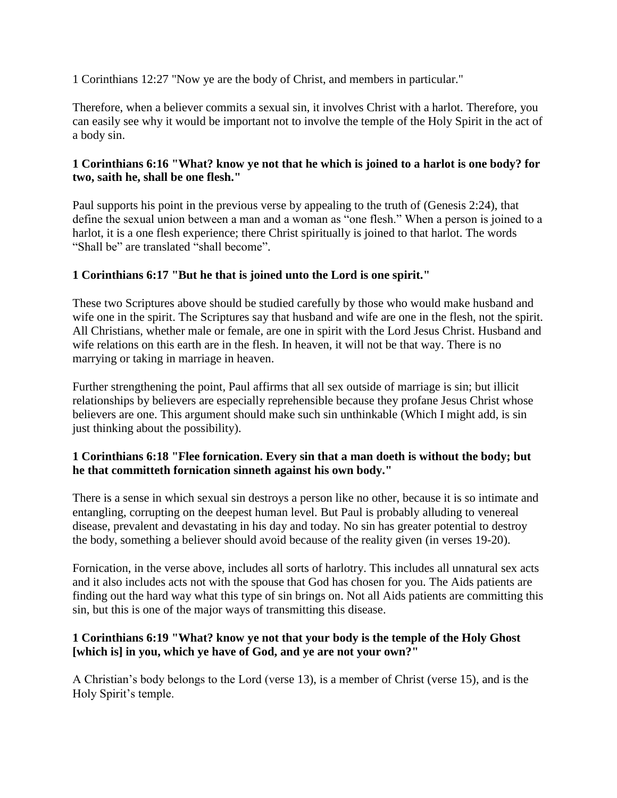1 Corinthians 12:27 "Now ye are the body of Christ, and members in particular."

Therefore, when a believer commits a sexual sin, it involves Christ with a harlot. Therefore, you can easily see why it would be important not to involve the temple of the Holy Spirit in the act of a body sin.

#### **1 Corinthians 6:16 "What? know ye not that he which is joined to a harlot is one body? for two, saith he, shall be one flesh."**

Paul supports his point in the previous verse by appealing to the truth of (Genesis 2:24), that define the sexual union between a man and a woman as "one flesh." When a person is joined to a harlot, it is a one flesh experience; there Christ spiritually is joined to that harlot. The words "Shall be" are translated "shall become".

## **1 Corinthians 6:17 "But he that is joined unto the Lord is one spirit."**

These two Scriptures above should be studied carefully by those who would make husband and wife one in the spirit. The Scriptures say that husband and wife are one in the flesh, not the spirit. All Christians, whether male or female, are one in spirit with the Lord Jesus Christ. Husband and wife relations on this earth are in the flesh. In heaven, it will not be that way. There is no marrying or taking in marriage in heaven.

Further strengthening the point, Paul affirms that all sex outside of marriage is sin; but illicit relationships by believers are especially reprehensible because they profane Jesus Christ whose believers are one. This argument should make such sin unthinkable (Which I might add, is sin just thinking about the possibility).

## **1 Corinthians 6:18 "Flee fornication. Every sin that a man doeth is without the body; but he that committeth fornication sinneth against his own body."**

There is a sense in which sexual sin destroys a person like no other, because it is so intimate and entangling, corrupting on the deepest human level. But Paul is probably alluding to venereal disease, prevalent and devastating in his day and today. No sin has greater potential to destroy the body, something a believer should avoid because of the reality given (in verses 19-20).

Fornication, in the verse above, includes all sorts of harlotry. This includes all unnatural sex acts and it also includes acts not with the spouse that God has chosen for you. The Aids patients are finding out the hard way what this type of sin brings on. Not all Aids patients are committing this sin, but this is one of the major ways of transmitting this disease.

## **1 Corinthians 6:19 "What? know ye not that your body is the temple of the Holy Ghost [which is] in you, which ye have of God, and ye are not your own?"**

A Christian's body belongs to the Lord (verse 13), is a member of Christ (verse 15), and is the Holy Spirit's temple.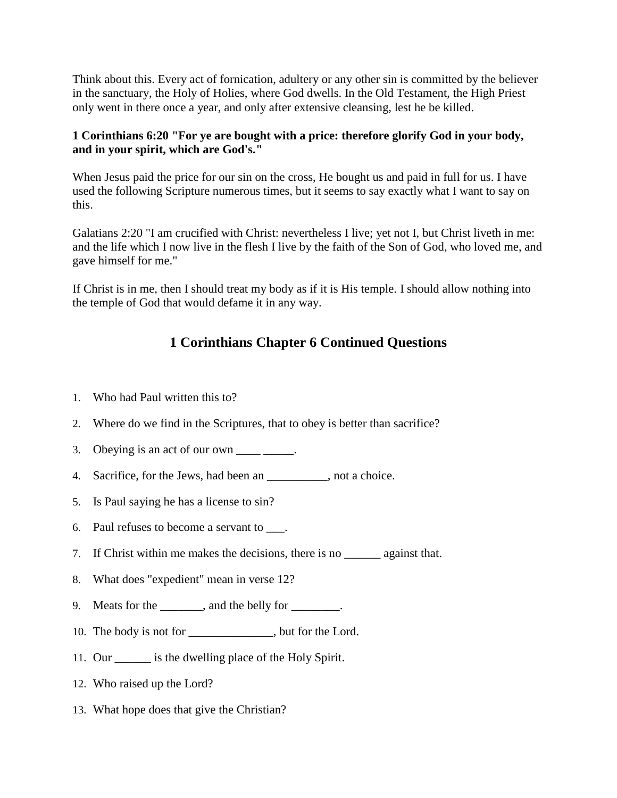Think about this. Every act of fornication, adultery or any other sin is committed by the believer in the sanctuary, the Holy of Holies, where God dwells. In the Old Testament, the High Priest only went in there once a year, and only after extensive cleansing, lest he be killed.

## **1 Corinthians 6:20 "For ye are bought with a price: therefore glorify God in your body, and in your spirit, which are God's."**

When Jesus paid the price for our sin on the cross, He bought us and paid in full for us. I have used the following Scripture numerous times, but it seems to say exactly what I want to say on this.

Galatians 2:20 "I am crucified with Christ: nevertheless I live; yet not I, but Christ liveth in me: and the life which I now live in the flesh I live by the faith of the Son of God, who loved me, and gave himself for me."

If Christ is in me, then I should treat my body as if it is His temple. I should allow nothing into the temple of God that would defame it in any way.

# **1 Corinthians Chapter 6 Continued Questions**

- 1. Who had Paul written this to?
- 2. Where do we find in the Scriptures, that to obey is better than sacrifice?
- 3. Obeying is an act of our own  $\cdot$
- 4. Sacrifice, for the Jews, had been an \_\_\_\_\_\_\_\_\_, not a choice.
- 5. Is Paul saying he has a license to sin?
- 6. Paul refuses to become a servant to  $\qquad$ .
- 7. If Christ within me makes the decisions, there is no \_\_\_\_\_\_ against that.
- 8. What does "expedient" mean in verse 12?
- 9. Meats for the \_\_\_\_\_\_, and the belly for \_\_\_\_\_\_\_.
- 10. The body is not for \_\_\_\_\_\_\_\_\_\_\_\_\_\_, but for the Lord.
- 11. Our \_\_\_\_\_\_ is the dwelling place of the Holy Spirit.
- 12. Who raised up the Lord?
- 13. What hope does that give the Christian?